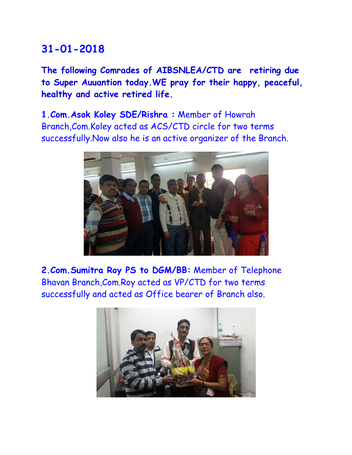**The following Comrades of AIBSNLEA/CTD are retiring due to Super Auuantion today.WE pray for their happy, peaceful, healthy and active retired life.**

**1.Com.Asok Koley SDE/Rishra :** Member of Howrah Branch,Com.Koley acted as ACS/CTD circle for two terms successfully.Now also he is an active organizer of the Branch.



**2.Com.Sumitra Roy PS to DGM/BB:** Member of Telephone Bhavan Branch,Com.Roy acted as VP/CTD for two terms successfully and acted as Office bearer of Branch also.

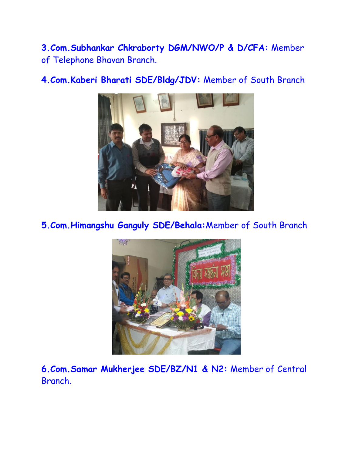**3.Com.Subhankar Chkraborty DGM/NWO/P & D/CFA:** Member of Telephone Bhavan Branch.



**4.Com.Kaberi Bharati SDE/Bldg/JDV:** Member of South Branch

**5.Com.Himangshu Ganguly SDE/Behala:**Member of South Branch



**6.Com.Samar Mukherjee SDE/BZ/N1 & N2:** Member of Central Branch.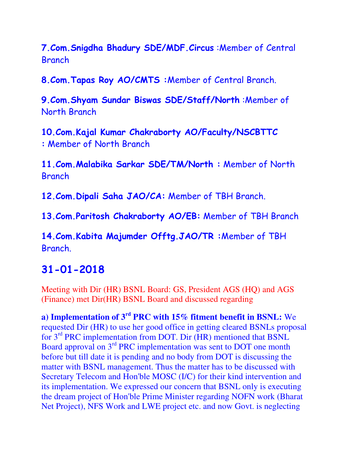**7.Com.Snigdha Bhadury SDE/MDF.Circus** :Member of Central Branch

**8.Com.Tapas Roy AO/CMTS :**Member of Central Branch.

**9.Com.Shyam Sundar Biswas SDE/Staff/North** :Member of North Branch

**10.Com.Kajal Kumar Chakraborty AO/Faculty/NSCBTTC :** Member of North Branch

**11.Com.Malabika Sarkar SDE/TM/North :** Member of North **Branch** 

**12.Com.Dipali Saha JAO/CA:** Member of TBH Branch.

**13.Com.Paritosh Chakraborty AO/EB:** Member of TBH Branch

**14.Com.Kabita Majumder Offtg.JAO/TR :**Member of TBH Branch.

### **31-01-2018**

Meeting with Dir (HR) BSNL Board: GS, President AGS (HQ) and AGS (Finance) met Dir(HR) BSNL Board and discussed regarding

**a) Implementation of 3rd PRC with 15% fitment benefit in BSNL:** We requested Dir (HR) to use her good office in getting cleared BSNLs proposal for 3rd PRC implementation from DOT. Dir (HR) mentioned that BSNL Board approval on 3rd PRC implementation was sent to DOT one month before but till date it is pending and no body from DOT is discussing the matter with BSNL management. Thus the matter has to be discussed with Secretary Telecom and Hon'ble MOSC (I/C) for their kind intervention and its implementation. We expressed our concern that BSNL only is executing the dream project of Hon'ble Prime Minister regarding NOFN work (Bharat Net Project), NFS Work and LWE project etc. and now Govt. is neglecting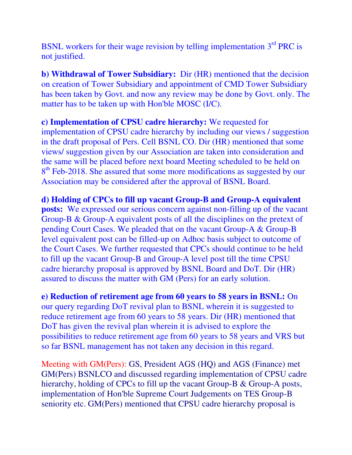BSNL workers for their wage revision by telling implementation  $3<sup>rd</sup> PRC$  is not justified.

**b) Withdrawal of Tower Subsidiary:** Dir (HR) mentioned that the decision on creation of Tower Subsidiary and appointment of CMD Tower Subsidiary has been taken by Govt. and now any review may be done by Govt. only. The matter has to be taken up with Hon'ble MOSC (I/C).

**c) Implementation of CPSU cadre hierarchy:** We requested for implementation of CPSU cadre hierarchy by including our views / suggestion in the draft proposal of Pers. Cell BSNL CO. Dir (HR) mentioned that some views/ suggestion given by our Association are taken into consideration and the same will be placed before next board Meeting scheduled to be held on 8<sup>th</sup> Feb-2018. She assured that some more modifications as suggested by our Association may be considered after the approval of BSNL Board.

**d) Holding of CPCs to fill up vacant Group-B and Group-A equivalent posts:** We expressed our serious concern against non-filling up of the vacant Group-B & Group-A equivalent posts of all the disciplines on the pretext of pending Court Cases. We pleaded that on the vacant Group-A & Group-B level equivalent post can be filled-up on Adhoc basis subject to outcome of the Court Cases. We further requested that CPCs should continue to be held to fill up the vacant Group-B and Group-A level post till the time CPSU cadre hierarchy proposal is approved by BSNL Board and DoT. Dir (HR) assured to discuss the matter with GM (Pers) for an early solution.

**e) Reduction of retirement age from 60 years to 58 years in BSNL:** On our query regarding DoT revival plan to BSNL wherein it is suggested to reduce retirement age from 60 years to 58 years. Dir (HR) mentioned that DoT has given the revival plan wherein it is advised to explore the possibilities to reduce retirement age from 60 years to 58 years and VRS but so far BSNL management has not taken any decision in this regard.

Meeting with GM(Pers): GS, President AGS (HQ) and AGS (Finance) met GM(Pers) BSNLCO and discussed regarding implementation of CPSU cadre hierarchy, holding of CPCs to fill up the vacant Group-B & Group-A posts, implementation of Hon'ble Supreme Court Judgements on TES Group-B seniority etc. GM(Pers) mentioned that CPSU cadre hierarchy proposal is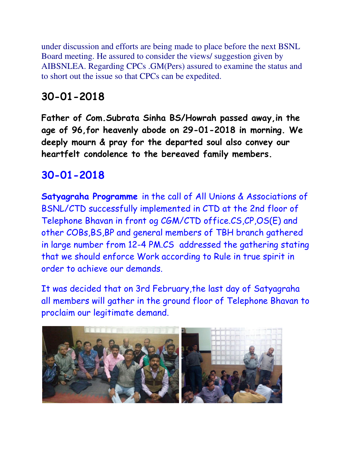under discussion and efforts are being made to place before the next BSNL Board meeting. He assured to consider the views/ suggestion given by AIBSNLEA. Regarding CPCs .GM(Pers) assured to examine the status and to short out the issue so that CPCs can be expedited.

# **30-01-2018**

**Father of Com.Subrata Sinha BS/Howrah passed away,in the age of 96,for heavenly abode on 29-01-2018 in morning. We deeply mourn & pray for the departed soul also convey our heartfelt condolence to the bereaved family members.**

# **30-01-2018**

**Satyagraha Programme** in the call of All Unions & Associations of BSNL/CTD successfully implemented in CTD at the 2nd floor of Telephone Bhavan in front og CGM/CTD office.CS,CP,OS(E) and other COBs,BS,BP and general members of TBH branch gathered in large number from 12-4 PM.CS addressed the gathering stating that we should enforce Work according to Rule in true spirit in order to achieve our demands.

It was decided that on 3rd February,the last day of Satyagraha all members will gather in the ground floor of Telephone Bhavan to proclaim our legitimate demand.

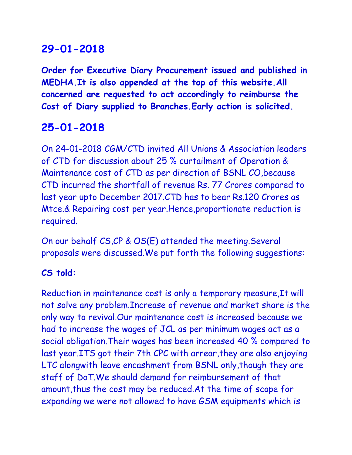**Order for Executive Diary Procurement issued and published in MEDHA.It is also appended at the top of this website.All concerned are requested to act accordingly to reimburse the Cost of Diary supplied to Branches.Early action is solicited.** 

# **25-01-2018**

On 24-01-2018 CGM/CTD invited All Unions & Association leaders of CTD for discussion about 25 % curtailment of Operation & Maintenance cost of CTD as per direction of BSNL CO,because CTD incurred the shortfall of revenue Rs. 77 Crores compared to last year upto December 2017.CTD has to bear Rs.120 Crores as Mtce.& Repairing cost per year.Hence,proportionate reduction is required.

On our behalf CS,CP & OS(E) attended the meeting.Several proposals were discussed.We put forth the following suggestions:

#### **CS told:**

Reduction in maintenance cost is only a temporary measure,It will not solve any problem.Increase of revenue and market share is the only way to revival.Our maintenance cost is increased because we had to increase the wages of JCL as per minimum wages act as a social obligation.Their wages has been increased 40 % compared to last year. ITS got their 7th CPC with arrear, they are also enjoying LTC alongwith leave encashment from BSNL only,though they are staff of DoT.We should demand for reimbursement of that amount,thus the cost may be reduced.At the time of scope for expanding we were not allowed to have GSM equipments which is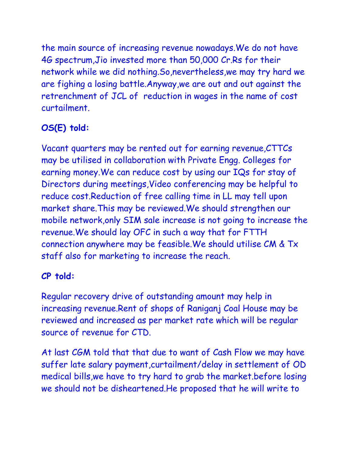the main source of increasing revenue nowadays.We do not have 4G spectrum,Jio invested more than 50,000 Cr.Rs for their network while we did nothing.So,nevertheless,we may try hard we are fighing a losing battle.Anyway,we are out and out against the retrenchment of JCL of reduction in wages in the name of cost curtailment.

## **OS(E) told:**

Vacant quarters may be rented out for earning revenue,CTTCs may be utilised in collaboration with Private Engg. Colleges for earning money.We can reduce cost by using our IQs for stay of Directors during meetings,Video conferencing may be helpful to reduce cost.Reduction of free calling time in LL may tell upon market share.This may be reviewed.We should strengthen our mobile network,only SIM sale increase is not going to increase the revenue.We should lay OFC in such a way that for FTTH connection anywhere may be feasible.We should utilise CM & Tx staff also for marketing to increase the reach.

### **CP told:**

Regular recovery drive of outstanding amount may help in increasing revenue.Rent of shops of Raniganj Coal House may be reviewed and increased as per market rate which will be regular source of revenue for CTD.

At last CGM told that that due to want of Cash Flow we may have suffer late salary payment,curtailment/delay in settlement of OD medical bills,we have to try hard to grab the market.before losing we should not be disheartened.He proposed that he will write to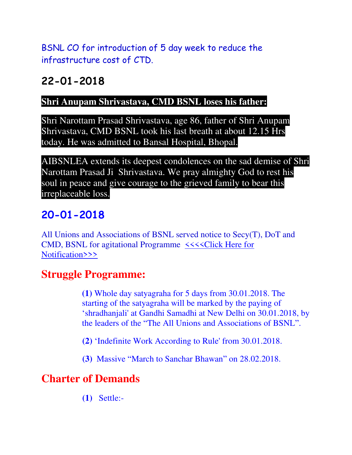BSNL CO for introduction of 5 day week to reduce the infrastructure cost of CTD.

# **22-01-2018**

#### **Shri Anupam Shrivastava, CMD BSNL loses his father:**

Shri Narottam Prasad Shrivastava, age 86, father of Shri Anupam Shrivastava, CMD BSNL took his last breath at about 12.15 Hrs today. He was admitted to Bansal Hospital, Bhopal.

AIBSNLEA extends its deepest condolences on the sad demise of Shri Narottam Prasad Ji Shrivastava. We pray almighty God to rest his soul in peace and give courage to the grieved family to bear this irreplaceable loss.

# **20-01-2018**

All Unions and Associations of BSNL served notice to Secy(T), DoT and CMD, BSNL for agitational Programme  $\prec\prec\prec$ Click Here for [Notification>>>](http://www.aibsnleachq.in/notification%20for%20agitational%20programme.pdf)

# **Struggle Programme:**

**(1)** Whole day satyagraha for 5 days from 30.01.2018. The starting of the satyagraha will be marked by the paying of 'shradhanjali' at Gandhi Samadhi at New Delhi on 30.01.2018, by the leaders of the "The All Unions and Associations of BSNL".

- **(2)** 'Indefinite Work According to Rule' from 30.01.2018.
- **(3)** Massive "March to Sanchar Bhawan" on 28.02.2018.

# **Charter of Demands**

 **(1)** Settle:-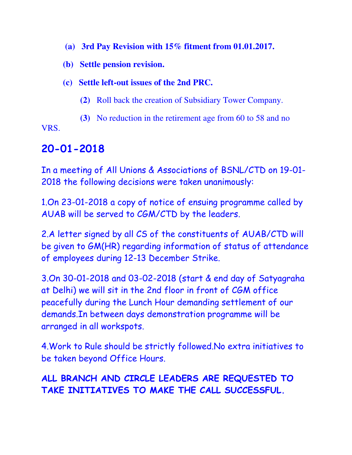- **(a) 3rd Pay Revision with 15% fitment from 01.01.2017.**
- **(b) Settle pension revision.**
- **(c) Settle left-out issues of the 2nd PRC.**
	- **(2)** Roll back the creation of Subsidiary Tower Company.
	- **(3)** No reduction in the retirement age from 60 to 58 and no

VRS.

# **20-01-2018**

In a meeting of All Unions & Associations of BSNL/CTD on 19-01- 2018 the following decisions were taken unanimously:

1.On 23-01-2018 a copy of notice of ensuing programme called by AUAB will be served to CGM/CTD by the leaders.

2.A letter signed by all CS of the constituents of AUAB/CTD will be given to GM(HR) regarding information of status of attendance of employees during 12-13 December Strike.

3.On 30-01-2018 and 03-02-2018 (start & end day of Satyagraha at Delhi) we will sit in the 2nd floor in front of CGM office peacefully during the Lunch Hour demanding settlement of our demands.In between days demonstration programme will be arranged in all workspots.

4.Work to Rule should be strictly followed.No extra initiatives to be taken beyond Office Hours.

## **ALL BRANCH AND CIRCLE LEADERS ARE REQUESTED TO TAKE INITIATIVES TO MAKE THE CALL SUCCESSFUL.**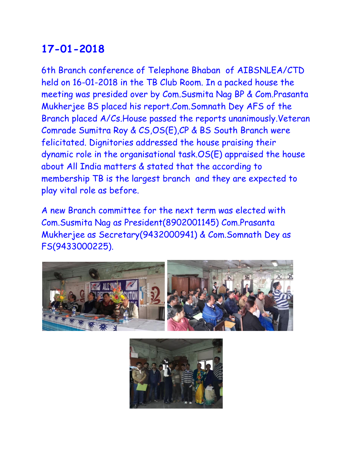6th Branch conference of Telephone Bhaban of AIBSNLEA/CTD held on 16-01-2018 in the TB Club Room. In a packed house the meeting was presided over by Com.Susmita Nag BP & Com.Prasanta Mukherjee BS placed his report.Com.Somnath Dey AFS of the Branch placed A/Cs.House passed the reports unanimously.Veteran Comrade Sumitra Roy & CS,OS(E),CP & BS South Branch were felicitated. Dignitories addressed the house praising their dynamic role in the organisational task.OS(E) appraised the house about All India matters & stated that the according to membership TB is the largest branch and they are expected to play vital role as before.

A new Branch committee for the next term was elected with Com.Susmita Nag as President(8902001145) Com.Prasanta Mukherjee as Secretary(9432000941) & Com.Somnath Dey as FS(9433000225).



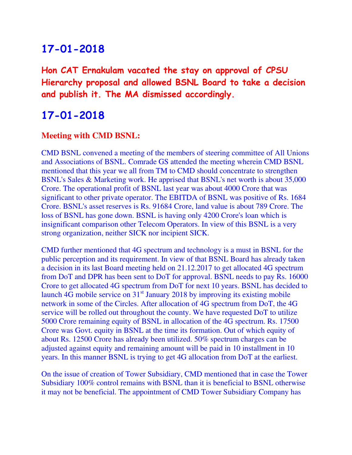**Hon CAT Ernakulam vacated the stay on approval of CPSU Hierarchy proposal and allowed BSNL Board to take a decision and publish it. The MA dismissed accordingly.** 

## **17-01-2018**

#### **Meeting with CMD BSNL:**

CMD BSNL convened a meeting of the members of steering committee of All Unions and Associations of BSNL. Comrade GS attended the meeting wherein CMD BSNL mentioned that this year we all from TM to CMD should concentrate to strengthen BSNL's Sales & Marketing work. He apprised that BSNL's net worth is about 35,000 Crore. The operational profit of BSNL last year was about 4000 Crore that was significant to other private operator. The EBITDA of BSNL was positive of Rs. 1684 Crore. BSNL's asset reserves is Rs. 91684 Crore, land value is about 789 Crore. The loss of BSNL has gone down. BSNL is having only 4200 Crore's loan which is insignificant comparison other Telecom Operators. In view of this BSNL is a very strong organization, neither SICK nor incipient SICK.

CMD further mentioned that 4G spectrum and technology is a must in BSNL for the public perception and its requirement. In view of that BSNL Board has already taken a decision in its last Board meeting held on 21.12.2017 to get allocated 4G spectrum from DoT and DPR has been sent to DoT for approval. BSNL needs to pay Rs. 16000 Crore to get allocated 4G spectrum from DoT for next 10 years. BSNL has decided to launch 4G mobile service on  $31<sup>st</sup>$  January 2018 by improving its existing mobile network in some of the Circles. After allocation of 4G spectrum from DoT, the 4G service will be rolled out throughout the county. We have requested DoT to utilize 5000 Crore remaining equity of BSNL in allocation of the 4G spectrum. Rs. 17500 Crore was Govt. equity in BSNL at the time its formation. Out of which equity of about Rs. 12500 Crore has already been utilized. 50% spectrum charges can be adjusted against equity and remaining amount will be paid in 10 installment in 10 years. In this manner BSNL is trying to get 4G allocation from DoT at the earliest.

On the issue of creation of Tower Subsidiary, CMD mentioned that in case the Tower Subsidiary 100% control remains with BSNL than it is beneficial to BSNL otherwise it may not be beneficial. The appointment of CMD Tower Subsidiary Company has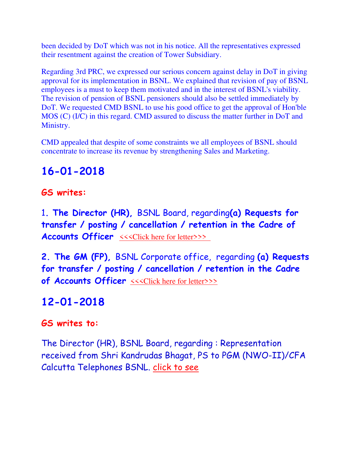been decided by DoT which was not in his notice. All the representatives expressed their resentment against the creation of Tower Subsidiary.

Regarding 3rd PRC, we expressed our serious concern against delay in DoT in giving approval for its implementation in BSNL. We explained that revision of pay of BSNL employees is a must to keep them motivated and in the interest of BSNL's viability. The revision of pension of BSNL pensioners should also be settled immediately by DoT. We requested CMD BSNL to use his good office to get the approval of Hon'ble MOS (C) (I/C) in this regard. CMD assured to discuss the matter further in DoT and Ministry.

CMD appealed that despite of some constraints we all employees of BSNL should concentrate to increase its revenue by strengthening Sales and Marketing.

# **16-01-2018**

#### **GS writes:**

1**. The Director (HR),** BSNL Board, regarding**(a) Requests for transfer / posting / cancellation / retention in the Cadre of Accounts Officer**  $\iff$  CONSERVIERTY

**2. The GM (FP),** BSNL Corporate office, regarding **(a) Requests for transfer / posting / cancellation / retention in the Cadre of Accounts Officer** [<<<Click here for letter>>>](http://www.aibsnleachq.in/GMFP_180116.pdf)

# **12-01-2018**

#### **GS writes to:**

The Director (HR), BSNL Board, regarding : Representation received from Shri Kandrudas Bhagat, PS to PGM (NWO-II)/CFA Calcutta Telephones BSNL. [click to see](http://aibsnleawb.org/kandu.pdf)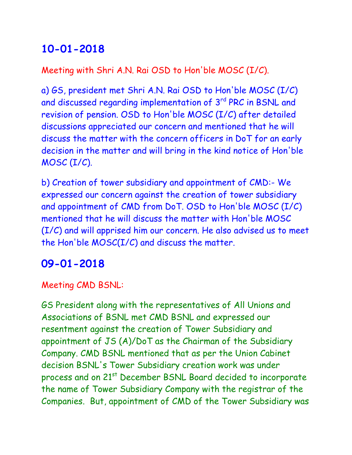Meeting with Shri A.N. Rai OSD to Hon'ble MOSC (I/C).

a) GS, president met Shri A.N. Rai OSD to Hon'ble MOSC (I/C) and discussed regarding implementation of 3rd PRC in BSNL and revision of pension. OSD to Hon'ble MOSC (I/C) after detailed discussions appreciated our concern and mentioned that he will discuss the matter with the concern officers in DoT for an early decision in the matter and will bring in the kind notice of Hon'ble MOSC (I/C).

b) Creation of tower subsidiary and appointment of CMD:- We expressed our concern against the creation of tower subsidiary and appointment of CMD from DoT. OSD to Hon'ble MOSC (I/C) mentioned that he will discuss the matter with Hon'ble MOSC (I/C) and will apprised him our concern. He also advised us to meet the Hon'ble MOSC(I/C) and discuss the matter.

# **09-01-2018**

Meeting CMD BSNL:

GS President along with the representatives of All Unions and Associations of BSNL met CMD BSNL and expressed our resentment against the creation of Tower Subsidiary and appointment of JS (A)/DoT as the Chairman of the Subsidiary Company. CMD BSNL mentioned that as per the Union Cabinet decision BSNL's Tower Subsidiary creation work was under process and on 21<sup>st</sup> December BSNL Board decided to incorporate the name of Tower Subsidiary Company with the registrar of the Companies. But, appointment of CMD of the Tower Subsidiary was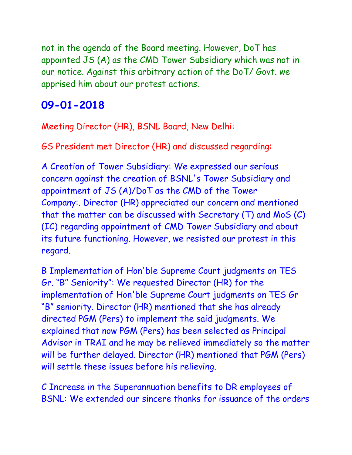not in the agenda of the Board meeting. However, DoT has appointed JS (A) as the CMD Tower Subsidiary which was not in our notice. Against this arbitrary action of the DoT/ Govt. we apprised him about our protest actions.

### **09-01-2018**

Meeting Director (HR), BSNL Board, New Delhi:

GS President met Director (HR) and discussed regarding:

A Creation of Tower Subsidiary: We expressed our serious concern against the creation of BSNL's Tower Subsidiary and appointment of JS (A)/DoT as the CMD of the Tower Company:. Director (HR) appreciated our concern and mentioned that the matter can be discussed with Secretary (T) and MoS (C) (IC) regarding appointment of CMD Tower Subsidiary and about its future functioning. However, we resisted our protest in this regard.

B Implementation of Hon'ble Supreme Court judgments on TES Gr. "B" Seniority": We requested Director (HR) for the implementation of Hon'ble Supreme Court judgments on TES Gr "B" seniority. Director (HR) mentioned that she has already directed PGM (Pers) to implement the said judgments. We explained that now PGM (Pers) has been selected as Principal Advisor in TRAI and he may be relieved immediately so the matter will be further delayed. Director (HR) mentioned that PGM (Pers) will settle these issues before his relieving.

C Increase in the Superannuation benefits to DR employees of BSNL: We extended our sincere thanks for issuance of the orders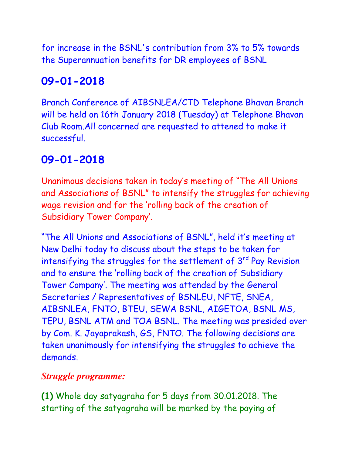for increase in the BSNL's contribution from 3% to 5% towards the Superannuation benefits for DR employees of BSNL

# **09-01-2018**

Branch Conference of AIBSNLEA/CTD Telephone Bhavan Branch will be held on 16th January 2018 (Tuesday) at Telephone Bhavan Club Room.All concerned are requested to attened to make it successful.

# **09-01-2018**

Unanimous decisions taken in today's meeting of "The All Unions and Associations of BSNL" to intensify the struggles for achieving wage revision and for the 'rolling back of the creation of Subsidiary Tower Company'.

"The All Unions and Associations of BSNL", held it's meeting at New Delhi today to discuss about the steps to be taken for intensifying the struggles for the settlement of 3<sup>rd</sup> Pay Revision and to ensure the 'rolling back of the creation of Subsidiary Tower Company'. The meeting was attended by the General Secretaries / Representatives of BSNLEU, NFTE, SNEA, AIBSNLEA, FNTO, BTEU, SEWA BSNL, AIGETOA, BSNL MS, TEPU, BSNL ATM and TOA BSNL. The meeting was presided over by Com. K. Jayaprakash, GS, FNTO. The following decisions are taken unanimously for intensifying the struggles to achieve the demands.

### *Struggle programme:*

**(1)** Whole day satyagraha for 5 days from 30.01.2018. The starting of the satyagraha will be marked by the paying of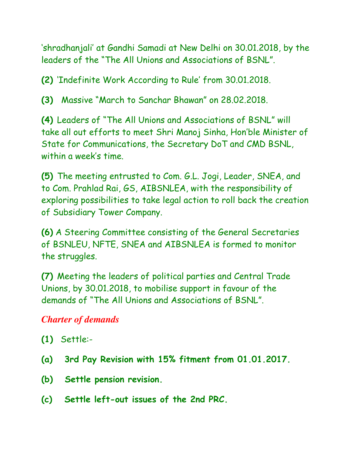'shradhanjali' at Gandhi Samadi at New Delhi on 30.01.2018, by the leaders of the "The All Unions and Associations of BSNL".

**(2)** 'Indefinite Work According to Rule' from 30.01.2018.

**(3)** Massive "March to Sanchar Bhawan" on 28.02.2018.

**(4)** Leaders of "The All Unions and Associations of BSNL" will take all out efforts to meet Shri Manoj Sinha, Hon'ble Minister of State for Communications, the Secretary DoT and CMD BSNL, within a week's time.

**(5)** The meeting entrusted to Com. G.L. Jogi, Leader, SNEA, and to Com. Prahlad Rai, GS, AIBSNLEA, with the responsibility of exploring possibilities to take legal action to roll back the creation of Subsidiary Tower Company.

**(6)** A Steering Committee consisting of the General Secretaries of BSNLEU, NFTE, SNEA and AIBSNLEA is formed to monitor the struggles.

**(7)** Meeting the leaders of political parties and Central Trade Unions, by 30.01.2018, to mobilise support in favour of the demands of "The All Unions and Associations of BSNL".

### *Charter of demands*

- **(1)** Settle:-
- **(a) 3rd Pay Revision with 15% fitment from 01.01.2017.**
- **(b) Settle pension revision.**
- **(c) Settle left-out issues of the 2nd PRC.**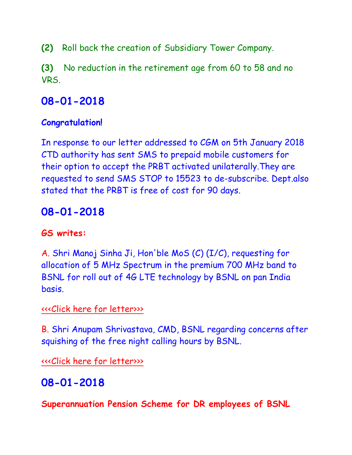**(2)** Roll back the creation of Subsidiary Tower Company.

**(3)** No reduction in the retirement age from 60 to 58 and no VRS.

## **08-01-2018**

#### **Congratulation!**

In response to our letter addressed to CGM on 5th January 2018 CTD authority has sent SMS to prepaid mobile customers for their option to accept the PRBT activated unilaterally.They are requested to send SMS STOP to 15523 to de-subscribe. Dept.also stated that the PRBT is free of cost for 90 days.

# **08-01-2018**

#### **GS writes:**

A. Shri Manoj Sinha Ji, Hon'ble MoS (C) (I/C), requesting for allocation of 5 MHz Spectrum in the premium 700 MHz band to BSNL for roll out of 4G LTE technology by BSNL on pan India basis.

#### [<<<Click here for letter>>>](http://www.aibsnleachq.in/Monoj%20SinhaJi_180108.pdf)

B. Shri Anupam Shrivastava, CMD, BSNL regarding concerns after squishing of the free night calling hours by BSNL.

[<<<Click here for letter>>>](http://www.aibsnleachq.in/CMD_180102.pdf)

# **08-01-2018**

**Superannuation Pension Scheme for DR employees of BSNL**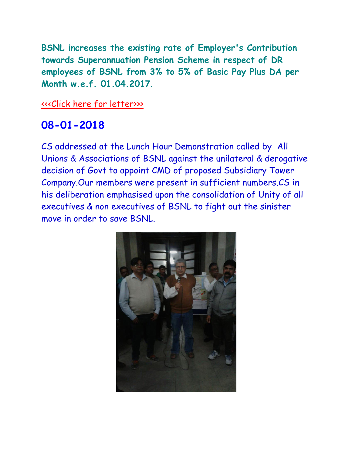**BSNL increases the existing rate of Employer's Contribution towards Superannuation Pension Scheme in respect of DR employees of BSNL from 3% to 5% of Basic Pay Plus DA per Month w.e.f. 01.04.2017**.

[<<<Click here for letter>>>](http://www.aibsnleachq.in/IMG-20180108-WA0015.jpg)

## **08-01-2018**

CS addressed at the Lunch Hour Demonstration called by All Unions & Associations of BSNL against the unilateral & derogative decision of Govt to appoint CMD of proposed Subsidiary Tower Company.Our members were present in sufficient numbers.CS in his deliberation emphasised upon the consolidation of Unity of all executives & non executives of BSNL to fight out the sinister move in order to save BSNL.

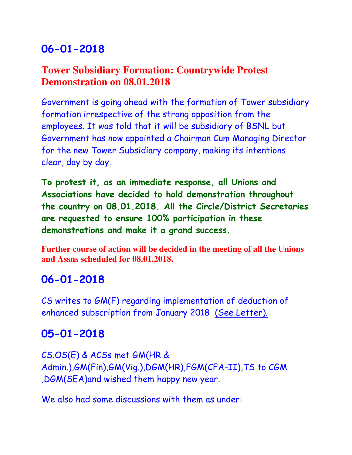### **Tower Subsidiary Formation: Countrywide Protest Demonstration on 08.01.2018**

Government is going ahead with the formation of Tower subsidiary formation irrespective of the strong opposition from the employees. It was told that it will be subsidiary of BSNL but Government has now appointed a Chairman Cum Managing Director for the new Tower Subsidiary company, making its intentions clear, day by day.

**To protest it, as an immediate response, all Unions and Associations have decided to hold demonstration throughout the country on 08.01.2018. All the Circle/District Secretaries are requested to ensure 100% participation in these demonstrations and make it a grand success.**

**Further course of action will be decided in the meeting of all the Unions and Assns scheduled for 08.01.2018.** 

### **06-01-2018**

CS writes to GM(F) regarding implementation of deduction of enhanced subscription from January 2018 [\(See Letter\).](http://aibsnleawb.org/GM-F-Sub.pdf)

### **05-01-2018**

CS.OS(E) & ACSs met GM(HR & Admin.),GM(Fin),GM(Vig.),DGM(HR),FGM(CFA-II),TS to CGM ,DGM(SEA)and wished them happy new year.

We also had some discussions with them as under: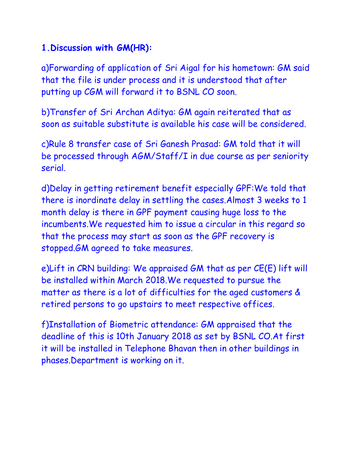### **1.Discussion with GM(HR):**

a)Forwarding of application of Sri Aigal for his hometown: GM said that the file is under process and it is understood that after putting up CGM will forward it to BSNL CO soon.

b)Transfer of Sri Archan Aditya: GM again reiterated that as soon as suitable substitute is available his case will be considered.

c)Rule 8 transfer case of Sri Ganesh Prasad: GM told that it will be processed through AGM/Staff/I in due course as per seniority serial.

d)Delay in getting retirement benefit especially GPF:We told that there is inordinate delay in settling the cases.Almost 3 weeks to 1 month delay is there in GPF payment causing huge loss to the incumbents.We requested him to issue a circular in this regard so that the process may start as soon as the GPF recovery is stopped.GM agreed to take measures.

e)Lift in CRN building: We appraised GM that as per CE(E) lift will be installed within March 2018.We requested to pursue the matter as there is a lot of difficulties for the aged customers & retired persons to go upstairs to meet respective offices.

f)Installation of Biometric attendance: GM appraised that the deadline of this is 10th January 2018 as set by BSNL CO.At first it will be installed in Telephone Bhavan then in other buildings in phases.Department is working on it.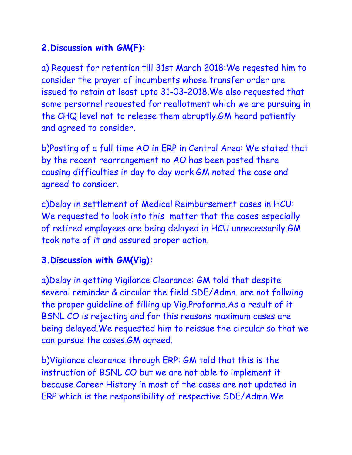### **2.Discussion with GM(F):**

a) Request for retention till 31st March 2018:We reqested him to consider the prayer of incumbents whose transfer order are issued to retain at least upto 31-03-2018.We also requested that some personnel requested for reallotment which we are pursuing in the CHQ level not to release them abruptly.GM heard patiently and agreed to consider.

b)Posting of a full time AO in ERP in Central Area: We stated that by the recent rearrangement no AO has been posted there causing difficulties in day to day work.GM noted the case and agreed to consider.

c)Delay in settlement of Medical Reimbursement cases in HCU: We requested to look into this matter that the cases especially of retired employees are being delayed in HCU unnecessarily.GM took note of it and assured proper action.

### **3.Discussion with GM(Vig):**

a)Delay in getting Vigilance Clearance: GM told that despite several reminder & circular the field SDE/Admn. are not follwing the proper guideline of filling up Vig.Proforma.As a result of it BSNL CO is rejecting and for this reasons maximum cases are being delayed.We requested him to reissue the circular so that we can pursue the cases.GM agreed.

b)Vigilance clearance through ERP: GM told that this is the instruction of BSNL CO but we are not able to implement it because Career History in most of the cases are not updated in ERP which is the responsibility of respective SDE/Admn.We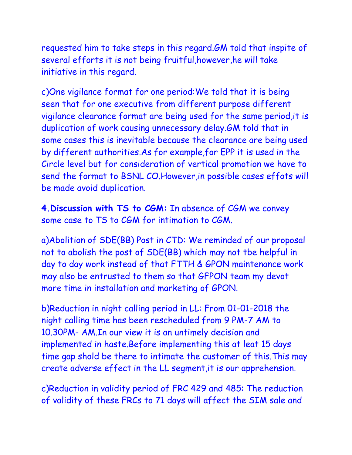requested him to take steps in this regard.GM told that inspite of several efforts it is not being fruitful,however,he will take initiative in this regard.

c)One vigilance format for one period:We told that it is being seen that for one executive from different purpose different vigilance clearance format are being used for the same period,it is duplication of work causing unnecessary delay.GM told that in some cases this is inevitable because the clearance are being used by different authorities.As for example,for EPP it is used in the Circle level but for consideration of vertical promotion we have to send the format to BSNL CO.However,in possible cases effots will be made avoid duplication.

**4.Discussion with TS to CGM:** In absence of CGM we convey some case to TS to CGM for intimation to CGM.

a)Abolition of SDE(BB) Post in CTD: We reminded of our proposal not to abolish the post of SDE(BB) which may not tbe helpful in day to day work instead of that FTTH & GPON maintenance work may also be entrusted to them so that GFPON team my devot more time in installation and marketing of GPON.

b)Reduction in night calling period in LL: From 01-01-2018 the night calling time has been rescheduled from 9 PM-7 AM to 10.30PM- AM.In our view it is an untimely decision and implemented in haste.Before implementing this at leat 15 days time gap shold be there to intimate the customer of this.This may create adverse effect in the LL segment,it is our apprehension.

c)Reduction in validity period of FRC 429 and 485: The reduction of validity of these FRCs to 71 days will affect the SIM sale and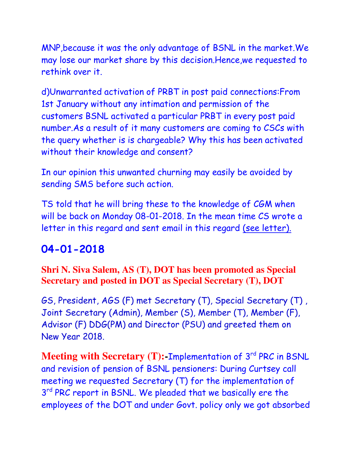MNP,because it was the only advantage of BSNL in the market.We may lose our market share by this decision.Hence,we requested to rethink over it.

d)Unwarranted activation of PRBT in post paid connections:From 1st January without any intimation and permission of the customers BSNL activated a particular PRBT in every post paid number.As a result of it many customers are coming to CSCs with the query whether is is chargeable? Why this has been activated without their knowledge and consent?

In our opinion this unwanted churning may easily be avoided by sending SMS before such action.

TS told that he will bring these to the knowledge of CGM when will be back on Monday 08-01-2018. In the mean time CS wrote a letter in this regard and sent email in this regard [\(see letter\).](http://aibsnleawb.org/CGMLetter2.pdf)

# **04-01-2018**

#### **Shri N. Siva Salem, AS (T), DOT has been promoted as Special Secretary and posted in DOT as Special Secretary (T), DOT**

GS, President, AGS (F) met Secretary (T), Special Secretary (T) , Joint Secretary (Admin), Member (S), Member (T), Member (F), Advisor (F) DDG(PM) and Director (PSU) and greeted them on New Year 2018.

**Meeting with Secretary (T): Implementation of 3<sup>rd</sup> PRC in BSNL** and revision of pension of BSNL pensioners: During Curtsey call meeting we requested Secretary (T) for the implementation of 3<sup>rd</sup> PRC report in BSNL. We pleaded that we basically ere the employees of the DOT and under Govt. policy only we got absorbed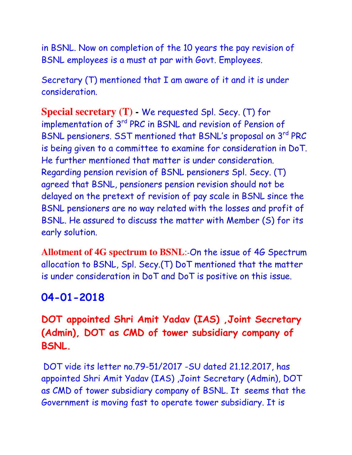in BSNL. Now on completion of the 10 years the pay revision of BSNL employees is a must at par with Govt. Employees.

Secretary (T) mentioned that I am aware of it and it is under consideration.

**Special secretary (T) -** We requested Spl. Secy. (T) for implementation of 3<sup>rd</sup> PRC in BSNL and revision of Pension of BSNL pensioners. SST mentioned that BSNL's proposal on 3<sup>rd</sup> PRC is being given to a committee to examine for consideration in DoT. He further mentioned that matter is under consideration. Regarding pension revision of BSNL pensioners Spl. Secy. (T) agreed that BSNL, pensioners pension revision should not be delayed on the pretext of revision of pay scale in BSNL since the BSNL pensioners are no way related with the losses and profit of BSNL. He assured to discuss the matter with Member (S) for its early solution.

**Allotment of 4G spectrum to BSNL**:-On the issue of 4G Spectrum allocation to BSNL, Spl. Secy.(T) DoT mentioned that the matter is under consideration in DoT and DoT is positive on this issue.

### **04-01-2018**

### **DOT appointed Shri Amit Yadav (IAS) ,Joint Secretary (Admin), DOT as CMD of tower subsidiary company of BSNL.**

DOT vide its letter no.79-51/2017 -SU dated 21.12.2017, has appointed Shri Amit Yadav (IAS) ,Joint Secretary (Admin), DOT as CMD of tower subsidiary company of BSNL. It seems that the Government is moving fast to operate tower subsidiary. It is